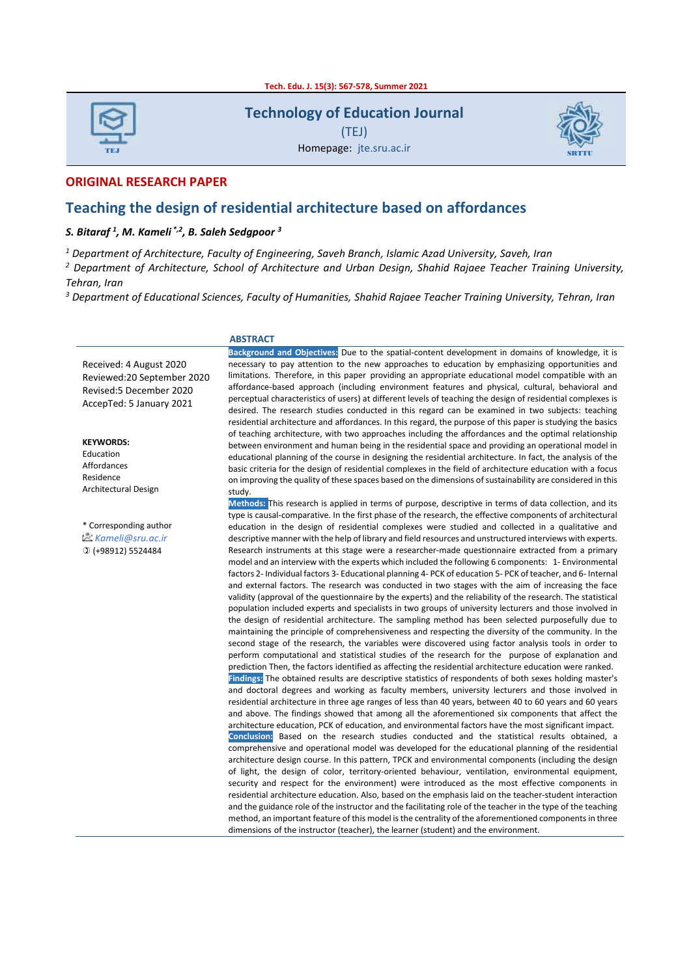**Tech. Edu. J. 15(3): 567-578, Summer 2021**

| <b>TEJ</b> |  |  |  |  |  |  |
|------------|--|--|--|--|--|--|

**Technology of Education Journal**

(TEJ)



Homepage: jte.sru.ac.ir

#### **ORIGINAL RESEARCH PAPER**

#### **Teaching the design of residential architecture based on affordances**

#### *S. Bitaraf <sup>1</sup> , M. Kameli \*,2, B. Saleh Sedgpoor <sup>3</sup>*

*<sup>1</sup> Department of Architecture, Faculty of Engineering, Saveh Branch, Islamic Azad University, Saveh, Iran*

*<sup>2</sup> Department of Architecture, School of Architecture and Urban Design, Shahid Rajaee Teacher Training University, Tehran, Iran*

*<sup>3</sup> Department of Educational Sciences, Faculty of Humanities, Shahid Rajaee Teacher Training University, Tehran, Iran*

 **ABSTRACT**

Received: 4 August 2020 Reviewed:20 September 2020 Revised:5 December 2020 AccepTed: 5 January 2021

**KEYWORDS:** Education Affordances Residence Architectural Design

\* Corresponding author *Kameli@sru.ac.ir* (+98912) 5524484

**Background and Objectives:** Due to the spatial-content development in domains of knowledge, it is necessary to pay attention to the new approaches to education by emphasizing opportunities and limitations. Therefore, in this paper providing an appropriate educational model compatible with an affordance-based approach (including environment features and physical, cultural, behavioral and perceptual characteristics of users) at different levels of teaching the design of residential complexes is desired. The research studies conducted in this regard can be examined in two subjects: teaching residential architecture and affordances. In this regard, the purpose of this paper is studying the basics of teaching architecture, with two approaches including the affordances and the optimal relationship between environment and human being in the residential space and providing an operational model in educational planning of the course in designing the residential architecture. In fact, the analysis of the basic criteria for the design of residential complexes in the field of architecture education with a focus on improving the quality of these spaces based on the dimensions of sustainability are considered in this study.

**Methods:** This research is applied in terms of purpose, descriptive in terms of data collection, and its type is causal-comparative. In the first phase of the research, the effective components of architectural education in the design of residential complexes were studied and collected in a qualitative and descriptive manner with the help of library and field resources and unstructured interviews with experts. Research instruments at this stage were a researcher-made questionnaire extracted from a primary model and an interview with the experts which included the following 6 components: 1- Environmental factors 2- Individual factors 3- Educational planning 4- PCK of education 5- PCK of teacher, and 6- Internal and external factors. The research was conducted in two stages with the aim of increasing the face validity (approval of the questionnaire by the experts) and the reliability of the research. The statistical population included experts and specialists in two groups of university lecturers and those involved in the design of residential architecture. The sampling method has been selected purposefully due to maintaining the principle of comprehensiveness and respecting the diversity of the community. In the second stage of the research, the variables were discovered using factor analysis tools in order to perform computational and statistical studies of the research for the purpose of explanation and prediction Then, the factors identified as affecting the residential architecture education were ranked. **Findings:** The obtained results are descriptive statistics of respondents of both sexes holding master's and doctoral degrees and working as faculty members, university lecturers and those involved in residential architecture in three age ranges of less than 40 years, between 40 to 60 years and 60 years and above. The findings showed that among all the aforementioned six components that affect the architecture education, PCK of education, and environmental factors have the most significant impact. **Conclusion:** Based on the research studies conducted and the statistical results obtained, a comprehensive and operational model was developed for the educational planning of the residential architecture design course. In this pattern, TPCK and environmental components (including the design of light, the design of color, territory-oriented behaviour, ventilation, environmental equipment, security and respect for the environment) were introduced as the most effective components in residential architecture education. Also, based on the emphasis laid on the teacher-student interaction and the guidance role of the instructor and the facilitating role of the teacher in the type of the teaching method, an important feature of this model is the centrality of the aforementioned components in three dimensions of the instructor (teacher), the learner (student) and the environment.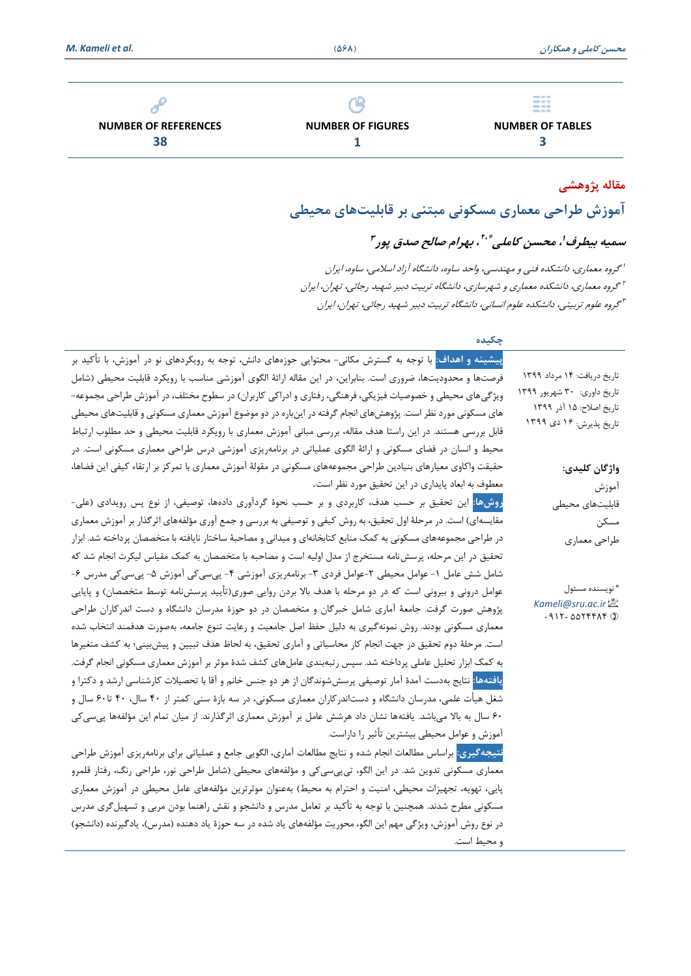

**NUMBER OF REFERENCES 38**



**NUMBER OF FIGURES 1**

**NUMBER OF TABLES 3**

# **مقاله پژوهشی آموزش طراحی معماری مسکونی مبتنی بر قابلیتهای محیطی**

سمیه بیطرف'، محسن کاملی \*،''، بهرام صالح صدق پور<sup>۳</sup>

1 گروه معماری، دانشکده فنی و مهندسی، واحد ساوه، دانشگاه آزاد اسالمی، ساوه، ایران 2 گروه معماری، دانشکده معماری و شهرسازی، دانشگاه تربیت دبیر شهید رجا ئ ی، تهران، ایران 3 گروه علوم تربیتی، دانشکده علوم انسانی، دانشگاه تربیت دبیر شهید رجا ئ ی، تهران، ایران

#### **چکیده**

و محیط است.

تاریخ دریافت: 14 مرداد 1399 تاریخ داوری: 30 شهریور 1399 تاریخ اصالح: 15 آذر 1399 تاریخ پذیرش: 16 دی 1399 **واژگان کلیدی:** آموزش قابلیتهای محیطی مسکن طراحی معماری نویسنده مسئول \* *Kameli@sru.ac.ir*  $0.911 - 001997499$ **پیشینه و اهداف:** با توجه به گسترش مکانی- محتوایی حوزههای دانش، توجه به رویکردهای نو در آموزش، با تأکید بر فرصتها و محدودیتها، ضروری است. بنابراین، در این مقاله ارائهٔ الگوی آموزشی مناسب با رویکرد قابلیت محیطی (شامل ویژگیهای محیطی و خصوصیات فیزیکی، فرهنگی، رفتاری و ادراکی کاربران) در سطوح مختلف، در آموزش طراحی مجموعه-های مسکونی مورد نظر است. پژوهشهای انجام گرفته در اینباره در دو موضوع آموزش معماری مسکونی و قابلیتهای محیطی قابل بررسی هستند. در این راستا هدف مقاله، بررسی مبانی آموزش معماری با رویکرد قابلیت محیطی و حد مطلوب ارتباط محیط و انسان در فضای مسکونی و ارائۀ الگوی عملیاتی در برنامهریزی آموزشی درس طراحی معماری مسکونی است. در حقیقت واکاوی معیارهای بنیادین طراحی مجموعههای مسکونی در مقولۀ آموزش معماری با تمرکز بر ارتقاء کیفی این فضاها، معطوف به ابعاد پایداری در این تحقیق مورد نظر است. **روشها:** این تحقیق بر حسب هدف، کاربردی و بر حسب نحوۀ گردآوری دادهها، توصیفی، از نوع پس رویدادی )علی- مقایسهای) است. در مرحلۀ اول تحقیق، به روش کیفی و توصیفی به بررسی و جمع آوری مؤلفههای اثرگذار بر آموزش معماری در طراحی مجموعههای مسکونی به کمک منابع کتابخانهای و میدانی و مصاحبۀ ساختار نایافته با متخصصان پرداخته شد. ابزار تحقیق در این مرحله، پرسشنامه مستخرج از مدل اولیه است و مصاحبه با متخصصان به کمک مقیاس لیکرت انجام شد که شامل شش عامل 1- عوامل محیطی ۲-عوامل فردی ۳- برنامهریزی آموزشی ۴- پیسی کی آموزش ۵- پیسی کی مدرس ۶-عوامل درونی و بیرونی است که در دو مرحله با هدف بالا بردن روایی صوری(تأیید پرسشنامه توسط متخصصان) و پایایی پژوهش صورت گرفت. جامعهٔ آماری شامل خبرگان و متخصصان در دو حوزهٔ مدرسان دانشگاه و دست اندرکاران طراحی معماری مسکونی بودند. روش نمونهگیری به دلیل حفظ اصل جامعیت و رعایت تنوع جامعه، بهصورت هدفمند انتخاب شده است. مرحلۀ دوم تحقیق در جهت انجام کار محاسباتی و آماری تحقیق، به لحاظ هدف تبیین و پیشبینی؛ به کشف متغیرها به کمک ابزار تحلیل عاملی پرداخته شد. سپس رتبهبندی عاملهای کشف شدۀ موثر بر آموزش معماری مسکونی انجام گرفت. **یافته ها:** نتایج بهدست آمدۀ آمار توصیفی پرسششوندگان از هر دو جنس خانم و آقا با تحصیالت کارشناسی ارشد و دکترا و شغل هیأت علمی، مدرسان دانشگاه و دستاندرکاران معماری مسکونی، در سه بازۀ سنی کمتر از 40 سال، 40 تا60 سال و 60 سال به باال میباشد. یافتهها نشان داد هرشش عامل بر آموزش معماری اثرگذارند. از میان تمام این مؤلفهها پیسیکی آموزش و عوامل محیطی بیشترین تأثیر را داراست. **نتیجهگیری:** براساس مطالعات انجام شده و نتایج مطالعات آماری، الگویی جامع و عملیاتی برای برنامه ری زی آموزش طراحی معماری مسکونی تدوین شد. در این الگو، تی $_{\rm g}$ سی $_{\rm g}$ ی و مؤلفههای محیطی (شامل طراحی زنور، طراحی رنگ، رفتار قلمرو پایی، تهویه، تجهیزات محیطی، امنیت و احترام به محیط) بهعنوان موثرترین مؤلفههای عامل محیطی در آموزش معماری مسکونی مطرح شدند. همچنین با توجه به تأکید بر تعامل مدرس و دانشجو و نقش راهنما بودن مربی و تسهیلگری مدرس

در نوع روش آموزش، ویژگی مهم این الگو، محوریت مؤلفههای یاد شده در سه حوزۀ یاد دهنده (مدرس)، یادگیرنده (دانشجو)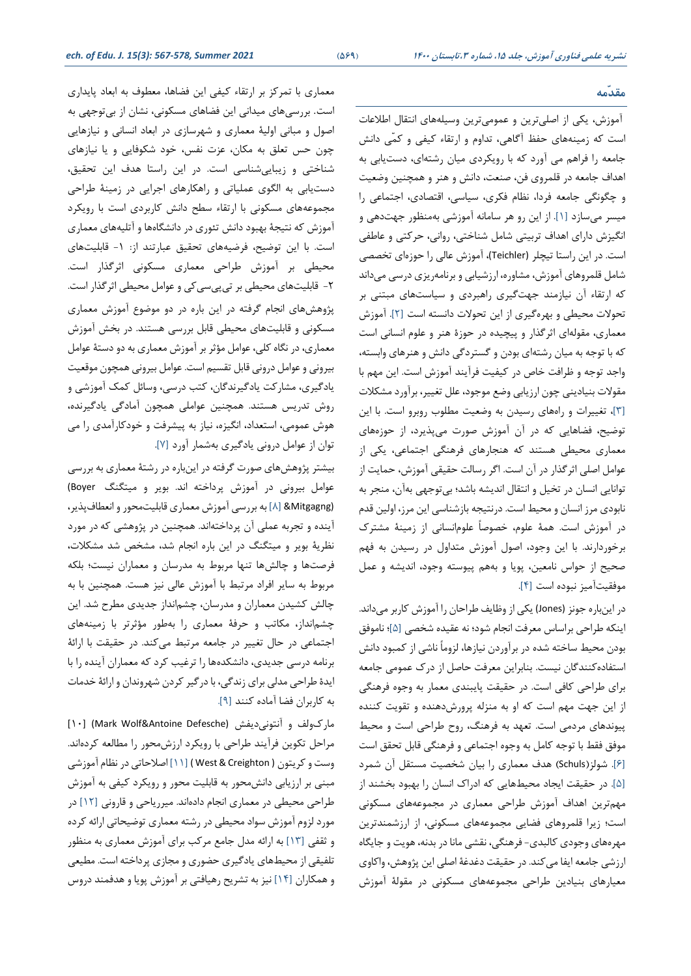#### **مقدّمه**

 آموزش ، یکی از اصلی ترین و عموم یترین وسیلههای انتقال اطالعات است که زمینههای حفظ آگاهی، تداوم و ارتقاء کیفی و کمّی دانش جامعه را فراهم می آورد که با رویکردی میان رشته ای، دست یابی به اهداف جامعه در قلمروی فن، صنعت، دانش و هنر و همچنین وضعیت و چگونگی جامعه فردا، نظام فکری، سیاسی، اقتصادی، اجتماعی را میسر میسازد [1]. از این رو هر سامانه آموزشی بهمنظور جهت دهی و انگیزش دارای اهداف تربیتی شامل شناختی، روانی، حرکتی و عاطفی است. در این راستا تیچلر (Teichler)، آموزش عالی را حوزهای تخصصی شامل قلمروهای آموزش، مشاوره، ارزشیابی و برنامهریزی درسی می داند که ارتقاء آن نیازمند جهت گیری راهبردی و سیاست های مبتنی بر تحوالت محیطی و بهره گیری از این تحوالت دانسته است [2]. آموزش معماری، مقوله ای اثرگذار و پیچیده در حوزۀ هنر و علوم انسانی است که با توجه به میان رشتهای بودن و گستردگی دانش و هنرهای وابسته، واجد توجه و ظرافت خاص در کیفیت فرآیند آموزش است. این مهم با مقوالت بنیادینی چون ارزیابی وضع موجود، علل تغییر، برآورد مشکالت [3]، تغییرات و راه های رسیدن به وضعیت مطلوب روبرو است. با این توضیح، فضاهایی که در آن آموزش صورت میپذیرد، از حوزه های معماری محیطی هستند که هنجارهای فرهنگی اجتماعی، یکی از عوامل اصلی اثرگذار در آن است. اگر رسالت حقیقی آموزش، حمایت از توانایی انسان در تخیل و انتقال اندیشه باشد ؛ بی توجهی به آن، منجر به نابودی مرز انسان و محیط است. درنتیجه بازشناسی این مرز، اولین قدم در آموزش است. همۀ علوم، خصوصاً علوم انسانی از زمینۀ مشترک برخوردارند. با این وجود، اصول آموزش متداول در رسیدن به فهم صحیح از حواس نامعین، پویا و به هم پیوسته وجود، اندیشه و عمل موفقیت آمیز نبوده است [4].

در این باره جونز (Jones (یکی از وظایف طراحان را آموزش کاربر می داند. اینکه طراحی براساس معرفت انجام شود؛ نه عقیده شخصی [5]؛ ناموفق بودن محیط ساخته شده در برآوردن نیازها، لزوماً ناشی از کمبود دانش استفاده کنندگان نیست. بنابراین معرفت حاصل از درک عمومی جامعه برای طراحی کافی است. در حقیقت پایبندی معمار به وجوه فرهنگی از این جهت مهم است که او به منزله پرورش دهنده و تقویت کننده پیوندهای مردمی است. تعهد به فرهنگ، روح طراحی است و محیط موفق فقط با توجه کامل به وجوه اجتماعی و فرهنگی قابل تحقق است [6]. شولز)Schuls )هدف معماری را بیان شخصیت مستقل آن شمرد [5]. در حقیقت ایجاد محیطهایی که ادراک انسان را بهبود بخشند از مهم ترین اهداف آموزش طراحی معماری در مجموعه های مسکونی است ؛ زیرا قلمروهای فضایی مجموعههای مسکونی، از ارزشمندترین مهرههای وجودی کالبدی- فرهنگی، نقشی مانا در بدنه، هویت و جایگاه ارزشی جامعه ایفا میکند. در حقیقت دغدغۀ اصلی این پژوهش، واکاوی معیارهای بنیادین طراحی مجموعه های مسکونی در مقولۀ آموزش

معماری با تمرکز بر ارتقاء کیفی این فضاها، معطوف به ابعاد پایداری است. بررسیهای میدانی این فضاهای مسکونی، نشان از بیتوجهی به اصول و مبانی اولیۀ معماری و شهرسازی در ابعاد انسانی و نیازهایی چون حس تعلق به مکان، عزت نفس، خود شکوفایی و یا نیازهای شناختی و زیباییشناسی است. در این راستا هدف این تحقیق، دست یابی به الگوی عملیاتی و راهکارهای اجرایی در زمینۀ طراحی مجموعههای مسکونی با ارتقاء سطح دانش کاربردی است با رویکرد آموزش که نتیجۀ بهبود دانش تئوری در دانشگاهها و آتلیههای معماری است. با این توضیح، فرضیههای تحقیق عبارتند از: -1 قابلیتهای محیطی بر آموزش طراحی معماری مسکونی اثرگذار است. -2 قابلیتهای محیطی بر تیپیسیکی و عوامل محیطی اثرگذار است. پژوهشهای انجام گرفته در این باره در دو موضوع آموزش معماری مسکونی و قابلیتهای محیطی قابل بررسی هستند. در بخش آموزش معماری ، در نگاه کلی، عوامل مؤثر بر آموزش معماری به دو دستۀ عوامل بیرونی و عوامل درونی قابل تقسیم است. عوامل بیرونی همچون موقعیت یادگیری، مشارکت یادگیرندگان، کتب درسی، وسائل کمک آموزشی و روش تدریس هستند. همچنین عواملی همچون آمادگی یادگیرنده، هوش عمومی، استعداد، انگیزه، نیاز به پیشرفت و خودکارآمدی را می توان از عوامل درونی یادگیری به شمار آورد [7].

بیشتر پژوهشهای صورت گرفته در اینباره در رشتۀ معماری به بررسی عوامل بیرونی در آموزش پرداخته اند. بویر و میتگنگ Boyer( (Mitgagng] &8 [به بررسی آموزش معماری قابلیت محور و انعطاف پذی ر، آینده و تجربه عملی آن پرداختهاند . همچنین در پژوهشی که در مورد نظریۀ بویر و میتگنگ در این باره انجام شد، مشخص شد مشکالت، فرصتها و چالشها تنها مربوط به مدرسان و معماران نیست؛ بلکه مربوط به سایر افراد مرتبط با آموزش عالی نیز هست. همچنین با به چالش کشیدن معماران و مدرسان، چشم انداز جدیدی مطرح شد. این چشم انداز ، مکاتب و حرفۀ معماری را بهطور مؤثرتر با زمینههای اجتماعی در حال تغییر در جامعه مرتبط میکند. در حقیقت با ارائۀ برنامه درسی جدیدی، دانشکدهها را ترغیب کرد که معماران آینده را با ایدۀ طراحی مدلی برای زندگی، با درگیر کردن شهروندان و ارائۀ خدمات به کاربران فضا آماده کنند [9].

مارک ولف و آنتونی دیفش (Mark Wolf&Antoine Defesche) [۱۰] مراحل تکوین فرآیند طراحی با رویکرد ارزش محور را مطالعه کردهاند. وست و کریتون ( Creighton & West] ( 11 [اصالحاتی در نظام آموزشی مبنی بر ارزیابی دانش محور به قابلیت محور و رویکرد کیفی به آموزش طراحی محیطی در معماری انجام دادهاند . میرریاحی و قارونی [12] در مورد لزوم آموزش سواد محیطی در رشته معماری توضیحاتی ارائه کرده و ثقفی [۱۳] به ارائه مدل جامع مرکب برای آموزش معماری به منظور تلفیقی از محیطهای یادگیری حضور ی و مجاز ی پرداخته است. مطیعی و همکاران [14] نیز به تشریح رهیافتی بر آموزش پویا و هدفمند دروس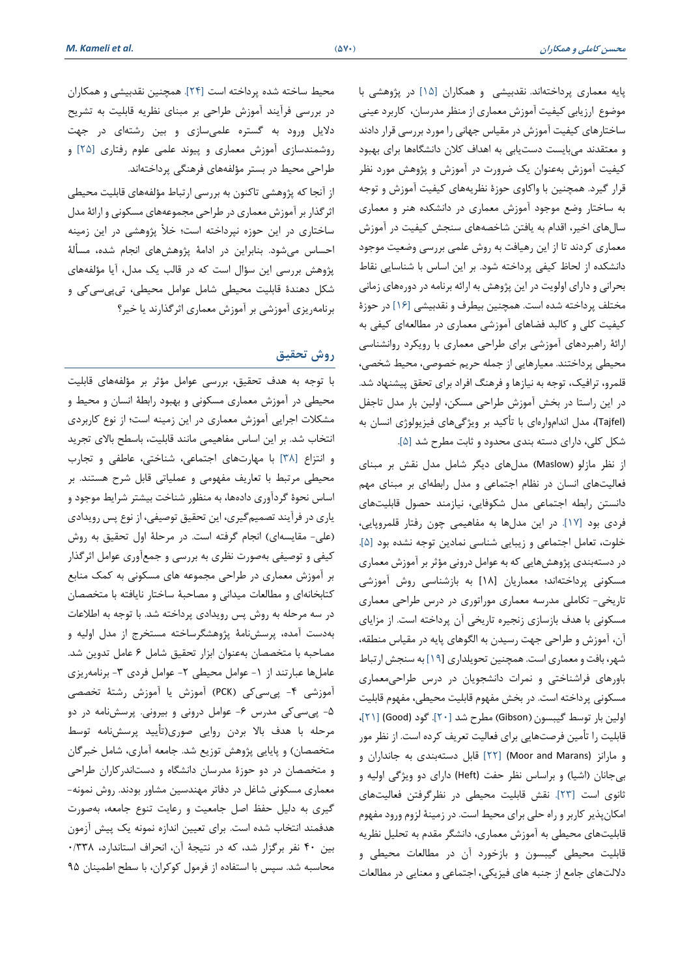پایه معماری پرداخته اند. نقدبیشی و همکاران [15] در پژوهشی با موضوع ارزیابی کیفیت آموزش معماری از منظر مدرسان، کاربرد عینی ساختارهای کیفیت آموزش در مقیاس جهانی را مورد بررسی قرار داد ند و معتقدند میبایست دست یابی به اهداف کالن دانشگاه ها برای بهبود کیفیت آموزش به عنوان یک ضرورت در آموزش و پژوهش مورد نظر قرار گیرد. همچنین با واکاوی حوزۀ نظریه های کیفیت آموزش و توجه به ساختار وضع موجود آموزش معماری در دانشکده هنر و معماری سال های اخیر، اقدام به یافتن شاخصههای سنجش کیفیت در آموزش معماری کردند تا از این رهیافت به روش علمی بررسی وضعیت موجود دانشکده از لحاظ کیفی پرداخته شود. بر این اساس با شناسایی نقاط بحرانی و دارای اولویت در این پژوهش به ارائه برنامه در دورههای زمانی مختلف پرداخته شده است. همچنین بیطرف و نقدبیشی [16] در حوزۀ کیفیت کلی و کالبد فضاهای آموزش ی معماری در مطالعهای کیفی به ارائۀ راهبردهای آموزشی برای طراحی معماری با رویکرد روانشناسی محیطی پرداختند. معیارهایی از جمله حریم خصوصی، محیط شخصی، قلمرو، ترافیک، توجه به نیازها و فرهنگ افراد برای تحقق پیشنهاد شد. در این راستا در بخش آموزش طراحی مسکن، اولین بار مدل تاجفل (Tajfel)، مدل انداموارهای با تأکید بر ویژگیهای فیزیولوژی انسان به شکل کلی، دارا ی دسته بندی محدود و ثابت مطرح شد [5].

از نظر مازلو )Maslow )مدل های د یگر شامل مدل نقش بر مبنا ی فعالیتهای انسان در نظام اجتماعی و مدل رابطه ای بر مبنای مهم دانستن رابطه اجتماعی مدل شکوفایی، نیازمند حصول قابلیت های فردی بود [17]. در این مدل ها به مفاهیمی چون رفتار قلمروپایی، خلوت، تعامل اجتماعی و زیبایی شناسی نمادین توجه نشده بود [5]. در دستهبندی پژوهش هایی که به عوامل درونی مؤثر بر آموزش معماری مسکونی پرداختهاند؛ معماریان [۱۸] به بازشناسی روش آموزشی تاریخی- تکاملی مدرسه معماری موراتوری در درس طراحی معماری مسکونی با هدف بازسازی زنجیره تاریخی آن پرداخته است. از مزایای آن، آموزش و طراحی جهت رسیدن به الگوهای پایه در مقیاس منطقه، شهر، بافت و معماری است. همچنین تحویلداری [19] به سنجش ارتباط باورهای فراشناختی و نمرات دانشجویان در درس طراحی معماری مسکونی پرداخته است. در بخش مفهوم قابلیت محیطی، مفهوم قابلیت اولین بار توسط گیبسون )Gibson )مطرح شد [20]. گود (Good] (21[، قابلیت را تأمین فرصتهایی برای فعالیت تعریف کرده است. از نظر مور و مارانز (Marans and Moor] (22 [قابل دستهبندی به جانداران و بیجانان (اشیا) و براساس نظر حفت (Heft) دارای دو ویژگی اولیه و ثانوی است [23]. نقش قابلیت مح یطی در نظرگرفتن فعالیتهای امکان پذیر کاربر و راه حلی برای محیط است. در زمینۀ لزوم ورود مفهوم قابلیتهای محیطی به آموزش معماری، دانشگر مقدم به تحلیل نظریه قابلیت محیطی گیبسون و بازخورد آن در مطالعات محیطی و داللتهای جامع از جنبه های فیزیکی، اجتماعی و معنایی در مطالعات

محیط ساخته شده پرداخته است [24]. همچنین نقدبیشی و همکاران در بررسی فرآیند آموزش طراحی بر مبنای نظریه قابلیت به تشریح دلایل ورود به گستره علمیسازی و بین رشتهای در جهت روشمندسازی آموزش معماری و پیوند علمی علوم رفتاری [۲۵] و طراحی محیط در بستر مؤلفه های فرهنگی پرداخته اند.

از آنجا که پژوهشی تاکنون به بررسی ارتباط مؤلفههای قابلیت محیطی اثرگذار بر آموزش معماری در طراحی مجموعههای مسکونی و ارائۀ مدل ساختاری در این حوزه نپرداخته است؛ خلأ پژوهشی در این زمینه احساس میشود. بنابراین در ادامۀ پژوهشهای انجام شده، مسألۀ پژوهش بررسی این سؤال است که در قالب یک مدل، آیا مؤلفههای شکل دهندۀ قابلیت محیطی شامل عوامل محیطی، تیپیسیکی و برنامهریزی آموزشی بر آموزش معماری اثرگذارند یا خیر؟

### **روش تحقیق**

با توجه به هدف تحقیق، بررسی عوامل مؤثر بر مؤلفههای قابلیت محیطی در آموزش معماری مسکونی و بهبود رابطۀ انسان و محیط و مشکالت اجرایی آموزش معماری در این زمینه است؛ از نوع کاربردی انتخاب شد. بر این اساس مفاهیمی مانند قابلیت، باسطح بالای تجرید و انتزاع [38] با مهارت های اجتماعی، شناختی، عاطفی و تجارب محیطی مرتبط با تعاریف مفهومی و عملیاتی قابل شرح هستند. بر اساس نحوۀ گردآوری دادهها، به منظور شناخت بیشتر شرایط موجود و یاری در فرآیند تصمیمگیری، این تحقیق توصیفی، از نوع پس رویدادی )علی- مقایسهای( انجام گرفته است. در مرحلۀ اول تحقیق به روش کیفی و توصیفی بهصورت نظری به بررسی و جمع آوری عوامل اثرگذار بر آموزش معماری در طراحی مجموعه های مسکونی به کمک منابع کتابخانهای و مطالعات میدانی و مصاحبۀ ساختار نایافته با متخصصان در سه مرحله به روش پس رویدادی پرداخته شد. با توجه به اطال عات بهدست آمده، پرسش نامۀ پژوهشگرساخته مستخرج از مدل اولیه و مصاحبه با متخصصان به عنوان ابزار تحقیق شامل 6 عامل تدوین شد. عاملها عبارتند از ١- عوامل محیطی ٢- عوامل فردی ٣- برنامهریزی آموزشی -4 پیسیکی )PCK )آموزش یا آموزش رشتۀ تخصصی -5 پیسیکی مدرس -6 عوامل درونی و بیرونی. پرسش نامه در دو مرحله با هدف باال بردن روایی صوری)تأیید پرسش نامه توسط متخصصان) و پایایی پژوهش توزیع شد. جامعه آماری، شامل خبرگان و متخصصان در دو حوز ۀ مدرسان دانشگاه و دست اندرکاران طراحی معماری مسکونی شاغل در دفاتر مهندسین مشاور بودند. روش نمونه- گیری به دلیل حفظ اصل جامعیت و رعایت تنوع جامعه، بهصورت هدفمند انتخاب شده است. برای تعیین اندازه نمونه یک پیش آزمون بین ۴۰ نفر برگزار شد، که در نتیجهٔ آن، انحراف استاندارد، ۰/۳۳۸ محاسبه شد. سپس با استفاده از فرمول کوکران، با سطح اطمینان 95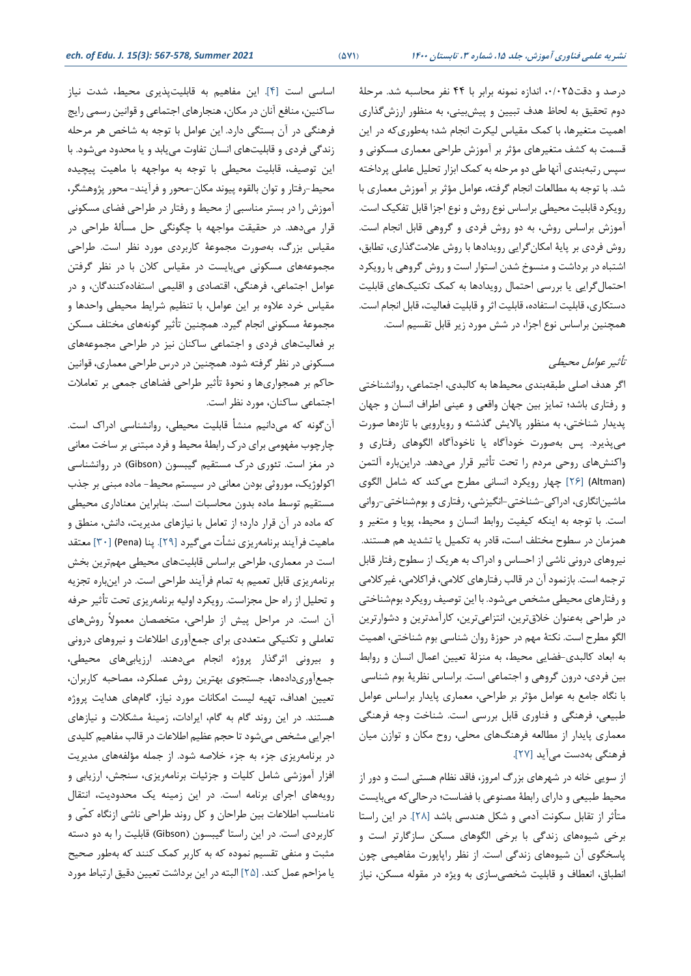درصد و دقت،0/025 اندازه نمونه برابر با 44 نفر محاسبه شد. مرحلۀ دوم تحقیق به لحاظ هدف تبیین و پیشبینی، به منظور ارزشگذاری اهمیت متغیرها، با کمک مقیاس لیکرت انجام شد؛ بهطوری که در این قسمت به کشف متغیرهای مؤثر بر آموزش طراحی معماری مسکونی و سپس رتبهبندی آنها طی دو مرحله به کمک ابزار تحلیل عاملی پرداخته شد. با توجه به مطالعات انجام گرفته، عوامل مؤثر بر آموزش معماری با رویکرد قابلیت محیطی براساس نوع روش و نوع اجزا قابل تفکیک است. آموزش براساس روش، به دو روش فردی و گروهی قابل انجام است. روش فردی بر پایۀ امکان گرایی رویدادها با روش عالمت گذاری، تطابق، اشتباه در برداشت و منسوخ شدن استوار است و روش گروهی با رویکرد احتمال گرایی یا بررسی احتمال رویدادها به کمک تکنیک های قابلیت دستکاری، قابلیت استفاده، قابلیت اثر و قابلیت فعالیت، قابل انجام است. همچنین براساس نوع اجزا، در شش مورد زیر قابل تقسیم است.

### تأثیر عوامل محیطی

اگر هدف اصلی طبقه بندی محیطها به کالبدی، اجتماعی، روانشناختی و رفتاری باشد؛ تمایز بین جهان واقعی و عینی اطراف انسان و جهان پدیدار شناختی، به منظور پاالیش گذشته و رویارویی با تازه ها صورت میپذیرد. پس بهصورت خودآگاه یا ناخودآگاه الگوهای رفتار ی و واکنشهای روحی مردم را تحت تأثیر قرار میدهد. دراینباره آلتمن (Altman] (26 [چهار رویکرد انسانی مطرح می کند که شامل الگوی ماشین انگاری ، ادراکی-شناختی-انگیزشی، رفتاری و بوم شناختی-روانی است. با توجه به اینکه کیفیت روابط انسان و محیط، پویا و متغیر و همزمان در سطوح مختلف است، قادر به تکمیل یا تشدید هم هستند. نیروهای درونی ناشی از احساس و ادراک به هریک از سطوح رفتار قابل ترجمه است. بازنمود آن در قالب رفتارهای کالمی، فراکالمی، غیرکالمی و رفتارهای محیطی مشخص می شود. با این توصیف رویکرد بوم شناختی در طراحی بهعنوان خلاق ترین، انتزاعی ترین، کارآمدترین و دشوارترین الگو مطرح است. نکتۀ مهم در حوزۀ روان شناسی بوم شناختی، اهمیت به ابعاد کالبدی-فضایی محیط، به منزلۀ تعیین اعمال انسان و روابط بین فردی، درون گروهی و اجتماعی است. براساس نظریۀ بوم شناسی با نگاه جامع به عوامل مؤثر بر طراحی، معماری پایدار براساس عوامل طبیعی، فرهنگی و فناوری قابل بررسی است. شناخت وجه فرهنگی معماری پایدار از مطالعه فرهنگ های محلی، روح مکان و توازن میان فرهنگی بهدست میآید [27].

از سویی خانه در شهرهای بزرگ امروز، فاقد نظام هستی است و دور از محیط طبیعی و دارای رابطۀ مصنوعی با فضاست؛ درحالی که میبایست متأثر از تقابل سکونت آدمی و شکل هندسی باشد [28]. در این راستا برخی شیوه های زندگی با برخی الگوهای مسکن سازگارتر است و پاسخگوی آن شیوههای زندگی است. از نظر راپاپورت مفاهیمی چون انطباق، انعطاف و قابلیت شخصی سازی به ویژه در مقوله مسکن، نیاز

اساسی است [4]. این مفاهیم به قابلیت پذیری محیط، شدت نیاز ساکنین، منافع آنان در مکان، هنجارهای اجتماعی و قوانین رسمی رایج فرهنگی در آن بستگی دارد. این عوامل با توجه به شاخص هر مرحله زندگی فردی و قابلیتهای انسان تفاوت مییابد و یا محدود میشود. با این توصیف، قابلیت محیطی با توجه به مواجهه با ماهیت پیچیده محیط-رفتار و توان بالقوه پیوند مکان -محور و فرآیند- محور پژوهشگر، آموزش را در بستر مناسبی از محیط و رفتار در طراحی فضای مسکونی قرار می دهد. در حقیقت مواجهه با چگونگی حل مسألۀ طراحی در مقیاس بزرگ، بهصورت مجموعۀ کاربردی مورد نظر است. طراحی مجموعههای مسکونی می بایست در مقیاس کلان با در نظر گرفتن عوامل اجتماعی، فرهنگی، اقتصادی و اقلیمی استفادهکنندگان، و در مقیاس خرد عالوه بر این عوامل، با تنظیم شرایط محیطی واحدها و مجموعۀ مسکونی انجام گیرد. همچنین تأثیر گونههای مختلف مسکن بر فعالیت های فردی و اجتماعی ساکنان نیز در طراحی مجموعه های مسکونی در نظر گرفته شود. همچنین در درس طراحی معماری، قوانین حاکم بر همجواریها و نحوۀ تأثیر طراحی فضاهای جمعی بر تعامالت اجتماعی ساکنان، مورد نظر است.

آنگونه که می دانیم منشأ قابلیت محیطی، روانشناسی ادراک است. چارچوب مفهومی برای درک رابطۀ محیط و فرد مبتنی بر ساخت معانی در مغز است. تئوری درک مستقیم گیبسون )Gibson )در روانشناسی اکولوژیک، موروثی بودن معانی در سیستم محیط- ماده مبنی بر جذب مستقیم توسط ماده بدون محاسبات است. بنابراین معناداری محیطی که ماده در آن قرار دارد؛ از تعامل با نیازهای مدیریت، دانش، منطق و ماهیت فرآیند برنامه یزی نشأت می گیرد [۲۹]. پنا (Pena) [۳۰] معتقد است در معماری، طراحی براساس قابلیتهای محیطی مهم ترین بخش برنامه ریزی قابل تعمیم به تمام فرآیند طراحی است. در این باره تجزیه و تحلیل از راه حل مجزاست. رویکرد اولیه برنامهریزی تحت تأثیر حرفه آن است. در مراحل پیش از طراحی، متخصصان معموالً روش های تعاملی و تکنیکی متعددی برای جمع آوری اطالعات و نیروهای درونی و بیرونی اثرگذار پروژه انجام میدهند. ارزیابیهای محیطی، جمع آور ی دادهها، جستجوی بهترین روش عملکرد، مصاحبه کاربران، تعیین اهداف، تهیه لیست امکانات مورد نیاز، گام های هدایت پروژه هستند. در این روند گام به گام، ایرادات، زمینۀ مشکالت و نیازهای اجرایی مشخص می شود تا حجم عظیم اطالعات در قالب مفاهیم کلیدی در برنامهریزی جزء به جزء خلاصه شود. از جمله مؤلفههای مدیریت افزار آموزشی شامل کلیات و جزئیات برنامهریزی، سنجش، ارزیابی و رویههای اجرای برنامه است. در این زمینه یک محدودیت، انتقال نامناسب اطالعات بین طراحان و کل روند طراحی ناشی ازنگاه کمّی و کاربردی است. در این راستا گیبسون (Gibson) قابلیت را به دو دسته مثبت و منفی تقسیم نموده که به کاربر کمک کنند که بهطور صحیح یا مزاحم عمل کند. [25] البته در این برداشت تعیین دقیق ارتباط مورد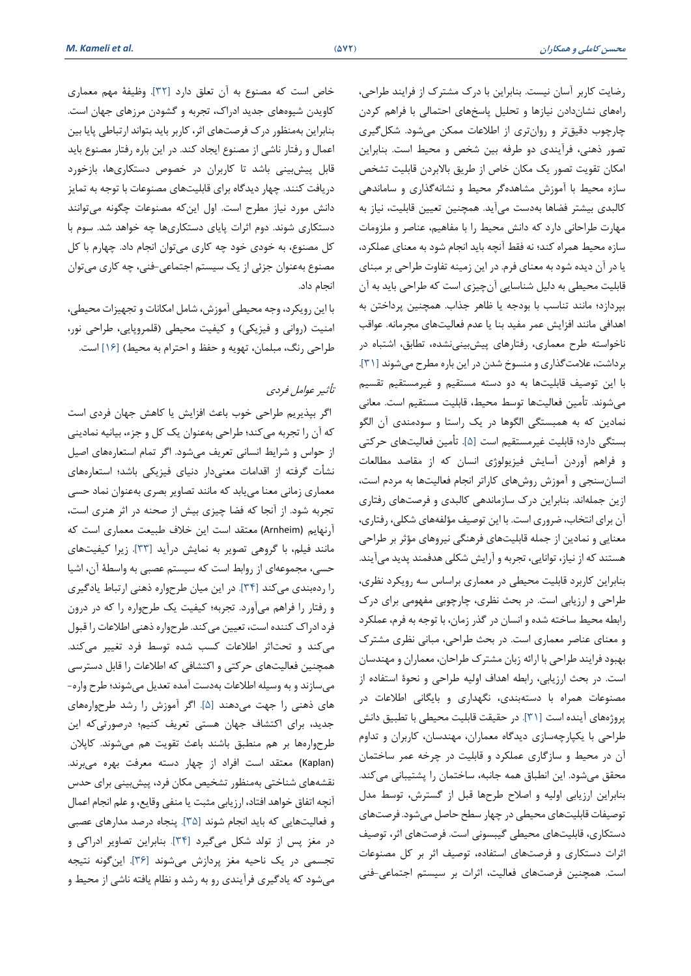رضایت کاربر آسان نیست. بنابراین با درک مشترک از فرایند طراحی، راه های نشان دادن نیازها و تحلیل پاسخهای احتمالی با فراهم کردن چارچوب دقیقتر و روانتری از اطالعات ممکن می شود. شکل گیری تصور ذهنی، فرآیندی دو طرفه بین شخص و محیط است. بنابراین امکان تقویت تصور یک مکان خاص از طریق باالبردن قابلیت تشخص سازه محیط با آموزش مشاهده گر محیط و نشانهگذار ی و ساماندهی کالبدی بیشتر فضاها بهدست میآید. همچنین تعیین قابلیت، نیاز به مهارت طراحانی دارد که دانش محیط را با مفاهیم، عناصر و ملزومات سازه محیط همراه کند؛ نه فقط آنچه باید انجام شود به معنای عملکرد، یا در آن دیده شود به معنای فرم. در این زمینه تفاوت طراحی بر مبنای قابلیت محیطی به دلیل شناسایی آن چیزی است که طراحی باید به آن بپردازد؛ مانند تناسب با بودجه یا ظاهر جذاب. همچنین پرداختن به اهدافی مانند افزایش عمر مفید بنا یا عدم فعالیتهای مجرمانه. عواقب ناخواسته طرح معماری، رفتارهای پ یشبینینشده، تطابق، اشتباه در برداشت، علامت گذاری و منسوخ شدن در این باره مطرح میشوند [۳۱]. با این توصیف قابلیتها به دو دسته مستقیم و غیرمستقیم تقسیم میشوند. تأمین فعالیت ها توسط محیط، قابلیت مستقیم است. معانی نمادین که به همبستگی الگوها در یک راستا و سودمندی آن الگو بستگی دارد؛ قابلیت غیرمستقیم است [5]. تأمین فعالیتهای حرکتی و فراهم آوردن آسایش فیزیولوژی انسان که از مقاصد مط العات انسان سنجی و آموزش روش های کاراتر انجام فعالیت ها به مردم است، ازین جملهاند. بنابراین درک سازماندهی کالبدی و فرصتهای رفتاری آن برای انتخاب، ضروری است. با این توصیف مؤلفه های شکلی، رفتاری، معنایی و نمادین از جمله قابلیتهای فرهنگی نیروهای مؤثر بر طراحی هستند که از نیاز، توانایی، تجربه و آرایش شکلی هدفمند پدید میآیند. بنابراین کاربرد قابلیت محیطی در معماری براساس سه رویکرد نظری، طراحی و ارزیابی است. در بحث نظری، چارچوبی مفهومی برای درک رابطه محیط ساخته شده و انسان در گذر زمان، با توجه به فرم، عملکرد و معنای عناصر معماری است. در بحث طراحی، مبانی نظری مشترک بهبود فرایند طراحی با ارائه زبان مشترک طراحان، معماران و مهندسان است. در بحث ارزیابی، رابطه اهداف اولیه طراحی و نحوۀ استفاده از مصنوعات همراه با دستهبند ی، نگهداری و بایگانی اطالعات در پروژه های آینده است [31]. در حقیقت قابلیت محیطی با تطبیق دانش طراحی با یکپارچه ساز ی دیدگاه معماران، مهندسان، کاربران و تداوم آن در محیط و سازگاری عملکرد و قابلیت در چرخه عمر ساختمان محقق میشود. این انطباق همه جانبه، ساختمان را پشتیبانی میکند. بنابراین ارزیابی اولیه و اصالح طرح ها قبل از گسترش ، توسط مدل توصیفات قابلیتهای محیطی در چهار سطح حاصل میشود. فرصت های دستکاری، قابلیت های محیطی گیبسونی است. فرصت های اثر، توصیف اثرات دستکاری و فرصت های استفاده، توصیف اثر بر کل مصنوعات است. همچنین فرصت های فعالیت، اثرات بر سیستم اجتماعی-فنی

خاص است که مصنوع به آن تعلق دارد [32]. وظیفۀ مهم معماری کاویدن شیوههای جدید ادراک، تجربه و گشودن مرزهای جهان است. بنابراین به منظور درک فرصت های اثر، کاربر باید بتواند ارتباطی پایا بین اعمال و رفتار ناشی از مصنوع ایجاد کند. در این باره رفتار مصنوع باید قابل پیشبینی باشد تا کاربران در خصوص دستکاریها، بازخورد دریافت کنند. چهار دیدگاه برای قابلیتهای مصنوعات با توجه به تمایز دانش مورد نیاز مطرح است. اول ای نکه مصنوعات چگونه میتوانند دستکاری شوند. دوم اثرات پایای دستکار ی ها چه خواهد شد. سوم با کل مصنوع، به خودی خود چه کاری می توان انجام داد. چهارم با کل مصنوع بهعنوان جزئی از یک سیستم اجتماعی-فنی، چه کاری میتوان انجام داد.

با این رویکرد، وجه محیطی آموزش، شامل امکانات و تجهیزات محیطی، امنیت (روانی و فیزیکی) و کیفیت محیطی (قلمروپایی، طراحی نور، طراحی رنگ، مبلمان، تهویه و حفظ و احترام به محیط( [16] است.

#### تأثیر عوامل فردی

 اگر بپذیریم طراحی خوب باعث افزایش یا کاهش جهان فردی است که آن را تجربه میکند؛ طراحی به عنوان یک کل و جزء، بیانیه نمادینی از حواس و شرایط انسانی تعریف می شود. اگر تمام استعاره های اصیل نشأت گرفته از اقدامات معنیدار دنیای فیزیکی باشد؛ استعاره های معماری زمانی معنا مییابد که مانند تصاویر بصری بهعنوان نماد حسی تجربه شود. از آنجا که فضا چیزی بیش از صحنه در اثر هنری است، آرنهایم (Arnheim (معتقد است این خالف طبیعت معماری است که مانند فیلم، با گروهی تصویر به نمایش درآید [۳۳]. زیرا کیفیتهای حسی، مجموعه ای از روابط است که سیستم عصبی به واسطۀ آن، اشیا را رده بندی می کند [34]. در این میان طرح واره ذهنی ارتباط یادگیری و رفتار را فراهم می آورد. تجربه؛ کیفیت یک طرح واره را که در درون فرد ادراک کننده است، تعیین میکند. طرحواره ذهنی اطالعات را قبول میکند و تحتاثر اطالعات کسب شده توسط فرد تغییر میکند. همچنین فعالیتهای حرکتی و اکتشافی که اطالعات را قابل دسترسی میسازند و به وسیله اطالعات بهدست آمده تعدیل میشوند؛ طرح واره- های ذهنی را جهت می دهند [5]. اگر آموزش را رشد طرح واره های جدید، برای اکتشاف جهان هستی تعریف کنیم؛ درصورتیکه این طرحوارهها بر هم منطبق باشند باعث تقویت هم می شوند. کاپلان (Kaplan (معتقد است افراد از چهار دسته معرفت بهره می برند. نقشههای شناختی بهمنظور تشخیص مکان فرد، پیش بینی برای حدس آنچه اتفاق خواهد افتاد، ارزیابی مثبت یا منفی وقایع، و علم انجام اعمال و فعالیت هایی که باید انجام شوند [35]. پنجاه درصد مدارهای عصبی در مغز پس از تولد شکل می گیرد [34]. بنابراین تصاویر ادراکی و تجسمی در یک ناحیه مغز پردازش می شوند [36]. این گونه نتیجه میشود که یادگیری فرآیندی رو به رشد و نظام یافته ناشی از محیط و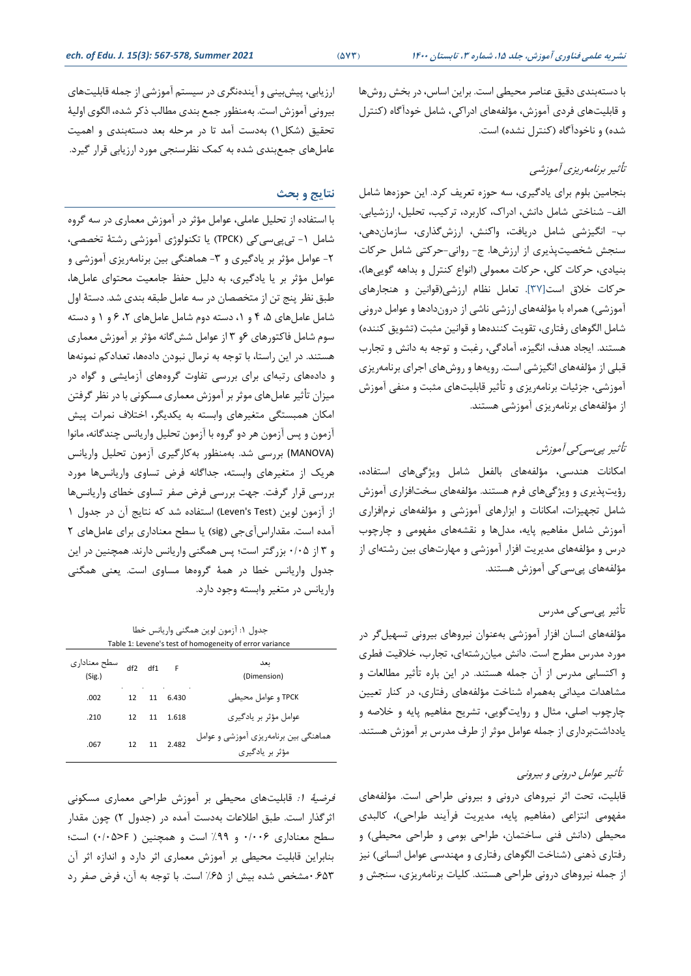با دستهبندی دقیق عناصر محیطی است. براین اساس، در بخش روشها و قابلیتهای فردی آموزش، مؤ لفه های ادراکی، شامل خودآگاه )کنترل شده) و ناخودآگاه (کنترل نشده) است.

#### تأثیر برنامهریزی آموزشی

بنجامین بلوم برای یادگیری، سه حوزه تعریف کرد. این حوزه ها شامل الف- شناختی شامل دانش، ادراک، کاربرد، ترکیب، تحلیل، ارزشیابی. ب- انگیزشی شامل دریافت، واکنش، ارزش گذار ی، سازمان دهی، سنجش شخصیت پذیر ی از ارزش ها. ج- روانی-حرکتی شامل حرکات بنیادی، حرکات کلی، حرکات معمولی (انواع کنترل و بداهه گوییها)، حرکات خالق است[37]. تعامل نظام ارزشی)قوانین و هنجارهای آموزشی) همراه با مؤلفههای ارزشی ناشی از دروندادها و عوامل درونی شامل الگوهای رفتاری، تقویت کننده ها و قوانین مثبت )تشویق کننده( هستند. ایجاد هدف، انگیزه، آمادگی، رغبت و توجه به دانش و تجارب قبلی از مؤلفههای انگیزشی است. رویهها و روشهای اجرای برنامه ریزی آموزشی، جزئیات برنامه ریزی و تأثیر قابلیتهای مثبت و منفی آموزش از مؤلفههای برنامهریزی آموزشی هستند.

#### تأثیر پیسیکی آموزش

امکانات هندسی، مؤلفه های بالفعل شامل ویژگیهای استفاده، رؤیت پذیری و ویژگی های فرم هستند. مؤلفههای سخت افزاری آموزش شامل تجهیزات، امکانات و ابزارهای آموزشی و مؤلفههای نرم افزاری آموزش شامل مفاهیم پایه، مدل ها و نقشههای مفهومی و چارچوب درس و مؤلفههای مدیریت افزار آموزشی و مهارتهای بین رشتهای از مؤلفههای پی سیکی آموزش هستند.

#### تأثیر پیسیکی مدرس

مؤلفههای انسان افزار آموزشی به عنوان نیروهای بیرونی تسهیل گر در مورد مدرس مطرح است. دانش میان رشتهای ، تجارب، خالقیت فطری و اکتسابی مدرس از آن جمله هستند. در این باره تأثیر مطالعات و مشاهدات میدانی بههمراه شناخت مؤلفههای رفتاری، در کنار تعیین چارچوب اصلی، مثال و روایت گویی، تشریح مفاهیم پایه و خالصه و یادداشت برداری از جمله عوامل موثر از طرف مدرس بر آموزش هستند.

#### تأثیر عوامل درونی و بیرونی

قابلیت، تحت اثر نیروهای درونی و بیرونی طراحی است. مؤلفه های مفهومی انتزاعی )مفاهیم پایه، مدیریت فرآیند طراحی(، کالبدی محیطی )دانش فنی ساختمان، طراحی بومی و طراحی محیطی( و رفتاری ذهنی (شناخت الگوهای رفتاری و مهندسی عوامل انسانی) نیز از جمله نیروهای درونی طراحی هستند. کلیات برنامهریزی، سنجش و

ارزیابی، پیش بینی و آیندهنگری در سیستم آموزشی از جمله قابلیتهای بیرونی آموزش است. بهمنظور جمع بندی مطالب ذکر شده، الگوی اولیۀ تحقیق (شکل ۱) به دست آمد تا در مرحله بعد دستهبندی و اهمیت عامل های جمعبندی شده به کمک نظرسنجی مورد ارزیابی قرار گیرد.

#### **نتایج و بحث**

با استفاده از تحلیل عاملی، عوامل مؤثر در آموزش معمار ی در سه گروه شامل -1 تیپیسیکی )TPCK )یا تکنولوژی آموزشی رشتۀ تخصصی، -2 عوامل مؤثر بر یادگیری و -3 هماهنگی بین برنامهریزی آموزشی و عوامل مؤثر بر یا یادگیری، به دلیل حفظ جامعیت محتوای عاملها، طبق نظر پنج تن از متخصصان در سه عامل طبقه بندی شد. دستۀ اول شامل عاملهای ۰۹ و ۰۱ دسته دوم شامل عاملهای ۲، ۶ و ۱ و دسته سوم شامل فاکتورهای ۶و ۳ از عوامل شش گانه مؤثر بر آموزش معماری هستند. در این راستا، با توجه به نرمال نبودن داده ها، تعدادکم نمونهها و دادههای رتبهای برای بررسی تفاوت گروههای آزمایشی و گواه در میزان تأثیر عاملهای موثر بر آموزش معماری مسکونی با در نظر گرفتن امکان همبستگی متغیرهای وابسته به یکدیگر، اختالف نمرات پیش آزمون و پس آزمون هر دو گروه با آزمون تحلیل واریانس چندگانه ، مانوا (MANOVA (بررسی شد. به منظور بهکارگیری آزمون تحلیل واریانس هریک از متغیرهای وابسته، جداگانه فرض تساوی واریانس ها مورد بررسی قرار گرفت. جهت بررسی فرض صفر تساوی خطای واریانس ها از آزمون لوین (Leven's Test) استفاده شد که نتایج آن در جدول ۱ آمده است. مقداراس آیجی (sig) یا سطح معناداری برای عاملهای ٢ و 3 از 0/05 بزرگتر است؛ پس همگنی واریانس دارند. همچنین در این جدول واریانس خطا در همۀ گروهها مساوی است. یعنی همگنی واریانس در متغیر وابسته وجود دارد.

جدول :1 آزمون لوین همگنی واریانس خطا Table 1: Levene's test of homogeneity of error variance

| سطح معنادارى<br>(Sig.) | df2 | df1 | $\overline{F}$ | ىغد<br>(Dimension)                                       |
|------------------------|-----|-----|----------------|----------------------------------------------------------|
| .002                   | 12  | 11  | 6.430          | TPCK و عوامل محیطے ِ                                     |
| .210                   | 12  |     | 11 1.618       | عوامل مؤثر بر یادگیری                                    |
| .067                   | 12  |     | 11 2.482       | هماهنگی بین برنامهریزی آموزشی و عوامل<br>مؤثر پر پادگیری |

فرضیۀ :1 قابلیتهای محیطی بر آموزش طراحی معماری مسکونی اثرگذار است. طبق اطلاعات به دست آمده در (جدول ۲) چون مقدار سطح معناداری 0/006 و %99 است و همچنین ) F<0/05 )است؛ بنابراین قابلیت محیطی بر آموزش معماری اثر دارد و اندازه اثر آن 0.653مشخص شده بیش از %65 است. با توجه به آن، فرض صفر رد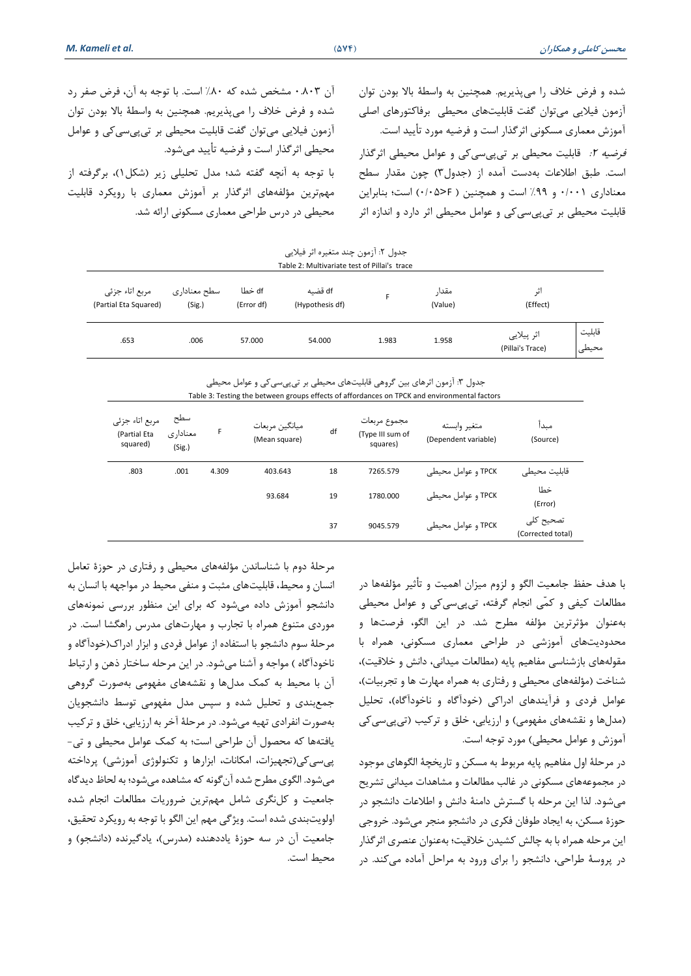شده و فرض خالف را می پذیریم. همچنین به واسطۀ باال بودن توان آزمون فیالیی میتوان گفت قابلیتهای محیطی برفاکتورهای اصلی آموزش معماری مسکونی اثرگذار است و فرضیه مورد تأیید است. فرضیه ٢: قابلیت محیطی بر تیپیسی کی و عوامل محیطی اثرگذار است. طبق اطلاعات به دست آمده از (جدول۳) چون مقدار سطح معناداری 0/001 و %99 است و همچنین ) F<0/05 )است؛ بنابراین قابلیت محیطی بر تیپیسیکی و عوامل محیطی اثر دارد و اندازه اثر

آن 0.803 مشخص شده که %80 است. با توجه به آن، فرض صفر رد شده و فرض خالف را می پذیریم. همچنین به واسطۀ باال بودن توان آزمون فیالیی میتوان گفت قابلیت محیطی بر تیپیسیکی و عوامل محیطی اثرگذار است و فرضیه تأیید میشود. با توجه به آنچه گفته شد؛ مدل تحلیلی زیر )شکل1(، برگرفته از مهم ترین مؤلفههای اثرگذار بر آموزش معماری با رویکرد قابلیت

محیطی در درس طراحی معماری مسکونی ارائه شد.

| جدول ٢: آزمون چند متغيره اثر فيلايي<br>Table 2: Multivariate test of Pillai's trace |                        |                      |                            |       |                  |                                                   |  |  |
|-------------------------------------------------------------------------------------|------------------------|----------------------|----------------------------|-------|------------------|---------------------------------------------------|--|--|
| مربع اتاء جزئى<br>(Partial Eta Squared)                                             | سطح معناداری<br>(Sig.) | df خطا<br>(Error df) | df قضيه<br>(Hypothesis df) | F.    | مقدا,<br>(Value) | اث<br>(Effect)                                    |  |  |
| .653                                                                                | .006                   | 57.000               | 54.000                     | 1.983 | 1.958            | قابليت<br>اثر پیلایی<br>محيطى<br>(Pillai's Trace) |  |  |

جدول ۳: آزمون اثرهای بین گروهی قابلیتهای محیطی بر تیپیسیکی و عوامل محیطی Table 3: Testing the between groups effects of affordances on TPCK and environmental factors

| مربع اتاء جزئي<br>(Partial Eta<br>squared) | سطح<br>معناداري<br>(Sig.) | F     | ميانگين مربعات<br>(Mean square) | df | مجموع مربعات<br>(Type III sum of<br>squares) | متغير وابسته<br>(Dependent variable) | مىدا<br>(Source)               |
|--------------------------------------------|---------------------------|-------|---------------------------------|----|----------------------------------------------|--------------------------------------|--------------------------------|
| .803                                       | .001                      | 4.309 | 403.643                         | 18 | 7265.579                                     | TPCK و عوامل محیطی                   | قابليت محيطى                   |
|                                            |                           |       | 93.684                          | 19 | 1780.000                                     | TPCK و عوامل محیطی                   | خطا<br>(Error)                 |
|                                            |                           |       |                                 | 37 | 9045.579                                     | TPCK و عوامل محیطی                   | تصحيح كلى<br>(Corrected total) |

با هدف حفظ جامعیت الگو و لزوم میزان اهمیت و تأثیر مؤلفهها در مطالعات کیفی و کمّی انجام گرفته، تیپیسیکی و عوامل محیطی بهعنوان مؤثرترین مؤلفه مطرح شد. در این الگو، فرصت ها و محدودیت های آموزشی در طراحی معماری مسکونی، همراه با مقولههای بازشناسی مفاهیم پایه (مطالعات میدانی، دانش و خلاقیت)، شناخت (مؤلفههای محیطی و رفتاری به همراه مهارت ها و تجربیات)، عوامل فردی و فرآیندهای ادراکی (خودآگاه و ناخودآگاه)، تحلیل (مدلها و نقشههای مفهومی) و ارزیابی، خلق و ترکیب (تیپیسیکی آموزش و عوامل محیطی) مورد توجه است.

در مرحلۀ اول مفاهیم پایه مربوط به مسکن و تاریخچۀ الگوهای موجود در مجموعههای مسکونی در غالب مطالعات و مشاهدات میدانی تشریح میشود. لذا این مرحله با گسترش دامنۀ دانش و اطالعات دانشجو در حوزۀ مسکن، به ایجاد طوفان فکری در دانشجو منجر می شود. خروجی این مرحله همراه با به چالش کشیدن خالقیت؛ به عنوان عنصری اثرگذار در پروسۀ طراحی، دانشجو را برای ورود به مراحل آماده میکند. در

مرحلۀ دوم با شناساندن مؤلفههای محیطی و رفتاری در حوزۀ تعامل انسان و محیط، قابلیتهای مثبت و منفی محیط در مواجهه با انسان به دانشجو آموزش داده می شود که برای این منظور بررسی نمونههای موردی متنوع همراه با تجارب و مهارتهای مدرس راهگشا است. در مرحلۀ سوم دانشجو با استفاده از عوامل فردی و ابزار ادراک)خودآگاه و ناخودآگاه ) مواجه و آشنا میشود. در این مرحله ساختار ذهن و ارتباط آن با محیط به کمک مدلها و نقشههای مفهومی بهصورت گروهی جمعبندی و تحلیل شده و سپس مدل مفهومی توسط دانشجویان بهصورت انفرادی تهیه میشود. در مرحلۀ آخر به ارزیابی، خلق و ترکیب یافتهها که محصول آن طراحی است ؛ به کمک عوامل محیطی و تی- پیسی کی(تجهیزات، امکانات، ابزارها و تکنولوژی آموزشی) پرداخته میشود. الگوی مطرح شده آن گونه که مشاهده می شود؛ به لحاظ دیدگاه جامعیت و کلنگری شامل مهم ترین ضروریات مطالعات انجام شده اولویتبندی شده است. ویژگی مهم این الگو با توجه به رویکرد تحقیق، جامعیت آن در سه حوزۀ یاددهنده (مدرس)، یادگیرنده (دانشجو) و محیط است.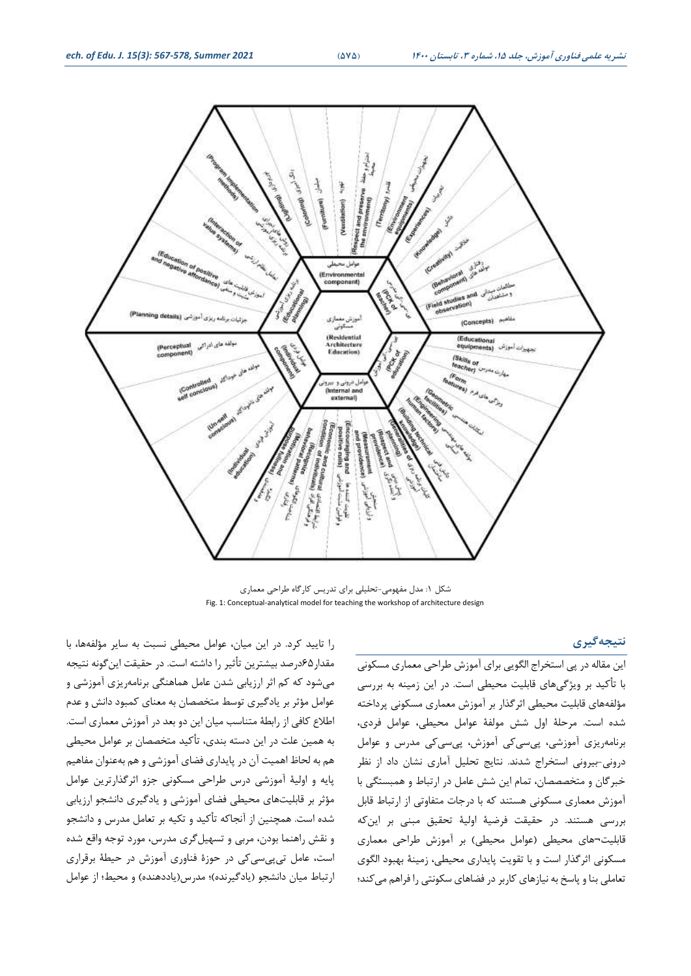

شکل :1 مدل مفهومی-تحلیلی برای تدریس کارگاه طراحی معماری Fig. 1: Conceptual-analytical model for teaching the workshop of architecture design

#### **نتیجهگیری**

این مقاله در پی استخراج الگویی برای آموزش طراحی معماری مسکون ی با تأکید بر ویژگیهای قابلیت محیطی است. در این زمینه به بررسی مؤلفههای قابلیت محیطی اثرگذار بر آموزش معمار ی مسکونی پرداخته شده است. مرحلۀ اول شش مولفۀ عوامل محیطی، عوامل فردی ، برنامه ریزی آموزشی، پیسیکی آموزش، پیسیکی مدرس و عوامل درونی-بیرونی استخراج شدند. نتایج تحلیل آماری نشان داد از نظر خبرگان و متخصصصان، تمام این شش عامل در ارتباط و همبستگی با آموزش معمار ی مسکونی هستند که با درجات متفاوتی از ارتباط قابل بررسی هستند. در حقیقت فرضیۀ اولیۀ تحقیق مبنی بر این که قابلیت¬های محیطی (عوامل محیطی) بر آموزش طراحی معماری مسکونی اثرگذار است و با تقویت پایدار ی محیطی، زمینۀ بهبود الگو ی تعاملی بنا و پاسخ به نیازهای کاربر در فضاهای سکونتی را فراهم می کند؛

را تایید کرد. در این میان، عوامل محیطی نسبت به سایر مؤلفه ها، با مقدار 65درصد بیشترین تأثیر را داشته است. در حقیقت این گونه نتیجه میشود که کم اثر ارزیابی شدن عامل هماهنگی برنامه ریزی آموزشی و عوامل مؤثر بر یادگیری توسط متخصصان به معنای کمبود دانش و عدم اطالع کافی از رابطۀ متناسب میان ای ن دو بعد در آموزش معمار ی است. به همین علت در این دسته بندی، تأکید متخصصان بر عوامل محیطی هم به لحاظ اهمیت آن در پایدار ی فضای آموزشی و هم بهعنوان مفاهیم پایه و اولیۀ آموزشی درس طراحی مسکونی جزو اثرگذارترین عوامل مؤثر بر قابلیتهای محیطی فضای آموزشی و یادگیری دانشجو ارزیابی شده است. همچنین از آنجاکه تأکید و تکیه بر تعامل مدرس و دانشجو و نقش راهنما بودن، مربی و تسهیلگری مدرس، مورد توجه واقع شده است، عامل تیپیسیکی در حوزۀ فناوری آموزش در حیطۀ برقرار ی ارتباط میان دانشجو (یادگیرنده)؛ مدرس(یاددهنده) و محیط؛ از عوامل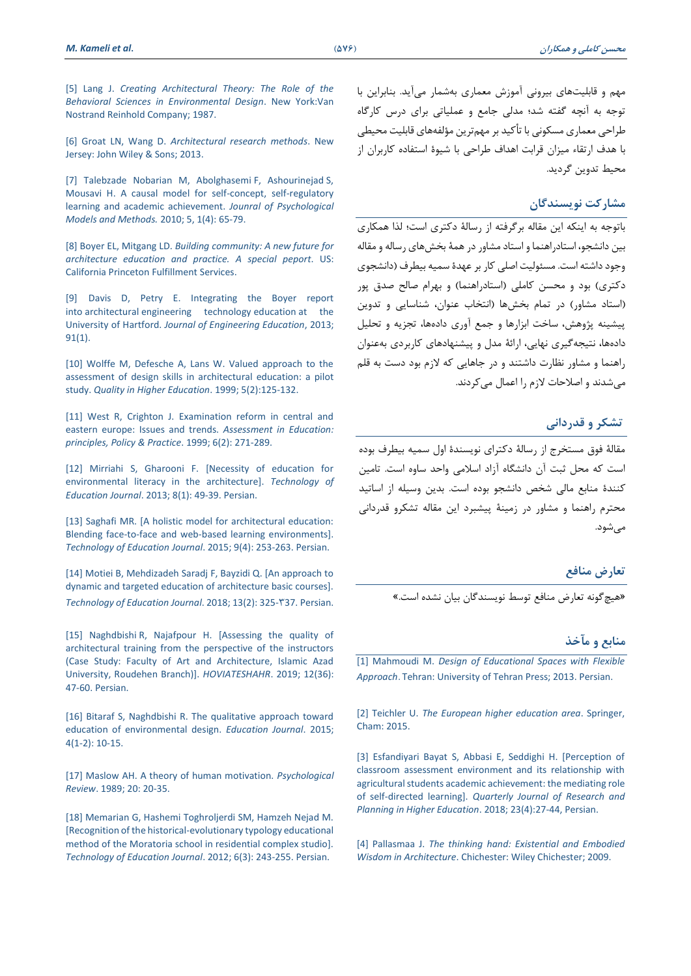[5] Lang J. *[Creating Architectural Theory: The Role of the](https://www.amazon.com/Creating-Architectural-Theory-Behavioral-Environmental/dp/0442259816)  [Behavioral Sciences in Environmental Design](https://www.amazon.com/Creating-Architectural-Theory-Behavioral-Environmental/dp/0442259816)*. New York:Van [Nostrand Reinhold Company; 1987.](https://www.amazon.com/Creating-Architectural-Theory-Behavioral-Environmental/dp/0442259816)

[6] Groat LN, Wang D. *[Architectural research methods](https://www.wiley.com/en-ir/Architectural+Research+Methods,+2nd+Edition-p-9780470908556)*. New [Jersey: John Wiley & Sons; 2013.](https://www.wiley.com/en-ir/Architectural+Research+Methods,+2nd+Edition-p-9780470908556)

[\[7\] Talebzade Nobarian M, Abolghasemi](http://jpmm.miau.ac.ir/article_1131.html) F, Ashourinejad S, [Mousavi H. A causal model for self-concept, self-regulatory](http://jpmm.miau.ac.ir/article_1131.html)  [learning and academic achievement.](http://jpmm.miau.ac.ir/article_1131.html) *Jounral of Psychological [Models and Methods.](http://jpmm.miau.ac.ir/article_1131.html)* 2010; 5, 1(4): 65-79.

[8] Boyer EL, Mitgang LD. *[Building community: A new future for](https://eric.ed.gov/?id=ED396659)  [architecture education and practice. A special peport](https://eric.ed.gov/?id=ED396659)*. US: [California Princeton Fulfillment Services.](https://eric.ed.gov/?id=ED396659) 

[9] [Davis D, Petry E. Integrating the Boyer report](https://onlinelibrary.wiley.com/doi/abs/10.1002/j.2168-9830.2002.tb00683.x)  into architectural [engineering technology](https://onlinelibrary.wiley.com/doi/abs/10.1002/j.2168-9830.2002.tb00683.x) education at the University of Hartford. *[Journal of Engineering Education](https://onlinelibrary.wiley.com/doi/abs/10.1002/j.2168-9830.2002.tb00683.x)*, 2013; [91\(1\).](https://onlinelibrary.wiley.com/doi/abs/10.1002/j.2168-9830.2002.tb00683.x)

[10] Wolffe M, Defesche A, Lans W. Valued approach to the [assessment of design skills in architectural education: a pilot](https://research.tue.nl/en/publications/valued-approach-to-the-assessment-of-design-skills-in-architectur)  study. *[Quality in Higher Education](https://research.tue.nl/en/publications/valued-approach-to-the-assessment-of-design-skills-in-architectur)*. 1999; 5(2):125-132.

[11] West R, Crighton J. Examination reform in central and [eastern europe: Issues and trends.](https://www.tandfonline.com/doi/abs/10.1080/09695949992919) *Assessment in Education: [principles, Policy & Practice](https://www.tandfonline.com/doi/abs/10.1080/09695949992919)*. 1999; 6(2): 271-289.

[12] Mirriahi S, Gharooni F. [Necessity of education for [environmental literacy in the architecture\].](http://jte.sru.ac.ir/article_116.html) *Technology of Education Journal*[. 2013; 8\(1\): 49-39. Persian.](http://jte.sru.ac.ir/article_116.html)

[\[13\] Saghafi MR. \[A holistic model for architectural education:](http://jte.sru.ac.ir/m/article_817.html)  [Blending face-to-face and web-based learning environments\].](http://jte.sru.ac.ir/m/article_817.html)  *Technology of Education Journal*[. 2015; 9\(4\): 253-263. Persian.](http://jte.sru.ac.ir/m/article_817.html)

[\[14\] Motiei B, Mehdizadeh Saradj F, Bayzidi Q. \[An approach to](http://jte.sru.ac.ir/article_888_en.html)  [dynamic and targeted education of architecture basic courses\].](http://jte.sru.ac.ir/article_888_en.html)  *[Technology of Education](http://jte.sru.ac.ir/article_888_en.html) Journal.* 2018; 13(2): 325-737. Persian.

[15] Naghdbishi [R, Najafpour H. \[Assessing the quality of](https://www.sid.ir/en/Journal/ViewPaper.aspx?ID=700704)  [architectural training from the perspective of the instructors](https://www.sid.ir/en/Journal/ViewPaper.aspx?ID=700704)  [\(Case Study: Faculty of Art and Architecture, Islamic Azad](https://www.sid.ir/en/Journal/ViewPaper.aspx?ID=700704)  [University, Roudehen Branch\)\].](https://www.sid.ir/en/Journal/ViewPaper.aspx?ID=700704) *HOVIATESHAHR*. 2019; 12(36): 47-60. [Persian.](https://www.sid.ir/en/Journal/ViewPaper.aspx?ID=700704)

[16] Bitaraf S, Naghdbishi R. The qualitative approach toward [education of environmental design.](http://www.sciencepublishinggroup.com/journal/paperinfo?journalid=196&doi=10.11648/j.edu.s.2015040102.12) *Education Journal*. 2015; [4\(1-2\):](http://www.sciencepublishinggroup.com/journal/paperinfo?journalid=196&doi=10.11648/j.edu.s.2015040102.12) 10-15.

[\[17\] Maslow AH. A theory of human motivation.](https://scholar.google.com/scholar?q=Maslow+AH.+A+theory+of+human+motivation.+Psychological+rReview.+1989%3B+20:+20-35.&hl=en&as_sdt=0&as_vis=1&oi=scholart) *Psychological Review*[. 1989; 20: 20-35.](https://scholar.google.com/scholar?q=Maslow+AH.+A+theory+of+human+motivation.+Psychological+rReview.+1989%3B+20:+20-35.&hl=en&as_sdt=0&as_vis=1&oi=scholart)

[\[18\] Memarian G, Hashemi Toghroljerdi SM, Hamzeh Nejad M.](http://jte.sru.ac.ir/article_211.html)  [\[Recognition of the historical-evolutionary typology educational](http://jte.sru.ac.ir/article_211.html)  [method of the Moratoria school in residential complex studio\].](http://jte.sru.ac.ir/article_211.html)  *[Technology of Education Journal](http://jte.sru.ac.ir/article_211.html)*. 2012; 6(3): 243-255. Persian.

مهم و قابلیتهای بیرونی آموزش معماری به شمار میآید. بنابراین با توجه به آنچه گفته شد؛ مدلی جامع و عملیاتی برای درس کارگاه طراحی معماری مسکونی با تأکید بر مهمترین مؤلفههای قابلیت محیطی با هدف ارتقاء میزان قرابت اهداف طراحی با شیوۀ استفاده کاربران از محیط تدوین گردید.

#### **مشارکت نویسندگان**

باتوجه به اینکه این مقاله برگرفته از رسالۀ دکتری است؛ لذا همکاری بین دانشجو، استادراهنما و استاد مشاور در همۀ بخشهای رساله و مقاله وجود داشته است. مسئولیت اصلی کار بر عهدۀ سمیه بیطرف )دانشجوی دکتری) بود و محسن کاملی (استادراهنما) و بهرام صالح صدق پور )استاد مشاور( در تمام بخشها )انتخاب عنوان، شناسایی و تدوین پیشینه پژوهش، ساخت ابزارها و جمع آوری دادهها، تجزیه و تحلیل دادهها، نتیجهگیری نهایی، ارائۀ مدل و پیشنهادهای کاربردی بهعنوان راهنما و مشاور نظارت داشتند و در جاهایی که الزم بود دست به قلم میشدند و اصالحات الزم را اعمال میکردند.

#### **تشکر و قدردانی**

مقالۀ فوق مستخرج از رسالۀ دکترای نویسندۀ اول سمیه بیطرف بوده است که محل ثبت آن دانشگاه آزاد اسالمی واحد ساوه است. تامین کنندۀ منابع مالی شخص دانشجو بوده است. بدین وسیله از اساتید محترم راهنما و مشاور در زمینۀ پیشبرد این مقاله تشکرو قدردانی مے شود.

#### **تعارض منافع**

»هیچگونه تعارض منافع توسط نویسندگان بیان نشده است.«

#### **م نابع و مآخذ**

[1] Mahmoudi M. *[Design of Educational Spaces with Flexible](https://www.ketab.ir/bookview.aspx?bookid=2325375)  Approach*. [Tehran: University of Tehran Press; 2013. Persian.](https://www.ketab.ir/bookview.aspx?bookid=2325375)

[2] Teichler U. *[The European higher education area](https://doi.org/10.1007/978-3-319-20877-0_50.)*. Springer, [Cham: 2015.](https://doi.org/10.1007/978-3-319-20877-0_50.)

[\[3\] Esfandiyari Bayat S, Abbasi E, Seddighi H. \[Perception of](http://journal.irphe.ac.ir/article-1-3557-en.html)  [classroom assessment environment and its relationship with](http://journal.irphe.ac.ir/article-1-3557-en.html)  [agricultural students academic achievement: the mediating role](http://journal.irphe.ac.ir/article-1-3557-en.html)  [of self-directed learning\].](http://journal.irphe.ac.ir/article-1-3557-en.html) *Quarterly Journal of Research and [Planning in Higher Education](http://journal.irphe.ac.ir/article-1-3557-en.html)*. 2018; 23(4):27-44, Persian.

[4] Pallasmaa J. *[The thinking hand: Existential and Embodied](https://www.amazon.com/Thinking-Hand-Existential-Embodied-Architecture/dp/0470779292)  Wisdom in Architecture*[. Chichester: Wiley Chichester; 2009.](https://www.amazon.com/Thinking-Hand-Existential-Embodied-Architecture/dp/0470779292)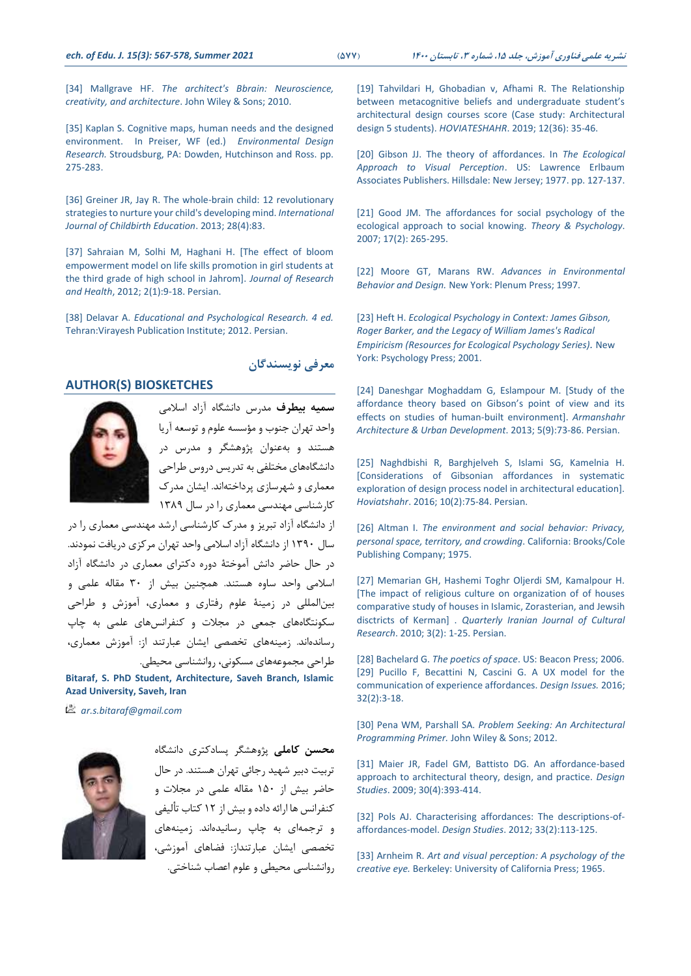[34] Mallgrave HF. *[The architect's Bbrain: Neuroscience,](https://www.wiley.com/en-ir/The+Architect%27s+Brain%3A+Neuroscience%2C+Creativity%2C+and+Architecture-p-9781405195850)  [creativity, and architecture](https://www.wiley.com/en-ir/The+Architect%27s+Brain%3A+Neuroscience%2C+Creativity%2C+and+Architecture-p-9781405195850)*. John Wiley & Sons; 2010.

[35] Kaplan S. Cognitive maps, human needs and the designed environment. In Preiser, WF (ed.) *Environmental Design Research.* Stroudsburg, PA: Dowden, Hutchinson and Ross. pp. 275-283.

[\[36\] Greiner JR, Jay R. The whole-brain child: 12 revolutionary](https://www.magcloud.com/browse/issue/643241)  [strategies to nurture your child's](https://www.magcloud.com/browse/issue/643241) developing mind. *International [Journal of Childbirth Education](https://www.magcloud.com/browse/issue/643241)*. 2013; 28(4):83.

[\[37\] Sahraian M, Solhi M, Haghani H. \[The effect of bloom](https://www.sid.ir/en/journal/ViewPaper.aspx?ID=250577)  [empowerment model on life skills promotion in girl students at](https://www.sid.ir/en/journal/ViewPaper.aspx?ID=250577)  the third grade of [high school in Jahrom\].](https://www.sid.ir/en/journal/ViewPaper.aspx?ID=250577) *Journal of Research and Health*[, 2012; 2\(1\):9-18. Persian.](https://www.sid.ir/en/journal/ViewPaper.aspx?ID=250577)

[38] Delavar A. *[Educational and Psychological Research. 4 ed.](https://www.ketab.ir/bookview.aspx?bookid=1887897)* [Tehran:Virayesh Publication Institute; 2012. Persian.](https://www.ketab.ir/bookview.aspx?bookid=1887897)

### **معرفی نویسندگان**

## **AUTHOR(S) BIOSKETCHES**



**سمیه بیطرف** مدرس دانشگاه آزاد اسالمی واحد تهران جنوب و مؤسسه علوم و توسعه آریا هستند و بهعنوان پژوهشگر و مدرس در دانشگاه های مختلفی به تدریس دروس طراحی معماری و شهرسازی پرداخته اند. ایشان مدرک کارشناسی مهندسی معماری را در سال ۱۳۸۹

از دانشگاه آزاد تبریز و مدرک کارشناسی ارشد مهندسی معماری را در سال 1390 از دانشگاه آزاد اسالمی واحد تهران مرکزی دریافت نمودند. در حال حاضر دانش آموختۀ دوره دکترای معماری در دانشگاه آزاد اسالمی واحد ساوه هستند. همچنین بیش از 30 مقاله علمی و بینالمللی در زمینۀ علوم رفتاری و معماری، آموزش و طراحی سکونتگاههای جمعی در مجلات و کنفرانس های علمی به چاپ رسانده اند. زمینههای تخصصی ایشان عبارتند از: آموزش معماری، طراحی مجموعه های مسکونی، روانشناسی محیطی.

**Bitaraf, S. PhD Student, Architecture, Saveh Branch, Islamic Azad University, Saveh, Iran** 

*ar.s.bitaraf@gmail.com*



**محسن کاملی** پژوهشگر پسادکتری دانشگاه تربیت دبیر شهید رجائی تهران هستند. در حال حاضر بیش از 150 مقاله علمی در مجالت و کنفرانس ها ارائه داده و بیش از 12 کتاب تألیفی و ترجمهای به چاپ رسانیدهاند. زمینههای تخصصی ایشان عبارتنداز: فضاها ی آموزشی، روانشناسی محیطی و علوم اعصاب شناختی. [\[19\] Tahvildari H, Ghobadian v, Afhami R. The Relationship](https://www.sid.ir/en/Journal/ViewPaper.aspx?ID=700698)  [between metacognitive beliefs and undergraduate student's](https://www.sid.ir/en/Journal/ViewPaper.aspx?ID=700698)  [architectural design courses score \(Case study: Architectural](https://www.sid.ir/en/Journal/ViewPaper.aspx?ID=700698)  design 5 students). *HOVIATESHAHR*[. 2019; 12\(36\): 35-46.](https://www.sid.ir/en/Journal/ViewPaper.aspx?ID=700698)

[\[20\] Gibson JJ. The theory of affordances. In](https://monoskop.org/images/2/2c/Gibson_James_J_1977_The_Theory_of_Affordances.pdf) *The Ecological [Approach to Visual Perception](https://monoskop.org/images/2/2c/Gibson_James_J_1977_The_Theory_of_Affordances.pdf)*. US: Lawrence Erlbaum [Associates Publishers. Hillsdale: New Jersey; 1977. pp. 127-137.](https://monoskop.org/images/2/2c/Gibson_James_J_1977_The_Theory_of_Affordances.pdf)

[\[21\] Good JM. The affordances for social psychology of the](https://journals.sagepub.com/doi/10.1177/0959354307075046)  [ecological approach to social knowing.](https://journals.sagepub.com/doi/10.1177/0959354307075046) *Theory & Psychology*. [2007; 17\(2\): 265-295.](https://journals.sagepub.com/doi/10.1177/0959354307075046)

[\[22\] Moore GT, Marans RW.](https://link.springer.com/bookseries/5581) *Advances in Environmental Behavior and Design.* [New York: Plenum Press; 1997.](https://link.springer.com/bookseries/5581)

[23] Heft H. *[Ecological Psychology in Context: James Gibson,](https://www.amazon.com/Ecological-Psychology-Context-Empiricism-Resources/dp/0805823506)  [Roger Barker, and the Legacy of William James's Radical](https://www.amazon.com/Ecological-Psychology-Context-Empiricism-Resources/dp/0805823506)  [Empiricism \(Resources for Ecological Psychology Series\)](https://www.amazon.com/Ecological-Psychology-Context-Empiricism-Resources/dp/0805823506).* New [York: Psychology Press; 2001.](https://www.amazon.com/Ecological-Psychology-Context-Empiricism-Resources/dp/0805823506)

[\[24\] Daneshgar Moghaddam G, Eslampour M. \[Study of the](http://www.armanshahrjournal.com/article_33213.html?lang=en)  [affordance theory based on Gibson's point of view and its](http://www.armanshahrjournal.com/article_33213.html?lang=en)  [effects on studies of human-built environment\].](http://www.armanshahrjournal.com/article_33213.html?lang=en) *Armanshahr [Architecture & Urban Development](http://www.armanshahrjournal.com/article_33213.html?lang=en)*. 2013; 5(9):73-86. Persian.

[\[25\] Naghdbishi R, Barghjelveh S, Islami SG, Kamelnia H.](https://scholar.google.com/citations?user=aMZhMrEAAAAJ&hl=en#d=gs_md_cita-d&u=%2Fcitations%3Fview_op%3Dview_citation%26hl%3Den%26user%3DaMZhMrEAAAAJ%26citation_for_view%3DaMZhMrEAAAAJ%3ABqipwSGYUEgC%26tzom%3D-210)  [\[Considerations of Gibsonian affordances in systematic](https://scholar.google.com/citations?user=aMZhMrEAAAAJ&hl=en#d=gs_md_cita-d&u=%2Fcitations%3Fview_op%3Dview_citation%26hl%3Den%26user%3DaMZhMrEAAAAJ%26citation_for_view%3DaMZhMrEAAAAJ%3ABqipwSGYUEgC%26tzom%3D-210)  [exploration of design process nodel in architectural education\].](https://scholar.google.com/citations?user=aMZhMrEAAAAJ&hl=en#d=gs_md_cita-d&u=%2Fcitations%3Fview_op%3Dview_citation%26hl%3Den%26user%3DaMZhMrEAAAAJ%26citation_for_view%3DaMZhMrEAAAAJ%3ABqipwSGYUEgC%26tzom%3D-210)  *Hoviatshahr*[. 2016; 10\(2\):75-84. Persian.](https://scholar.google.com/citations?user=aMZhMrEAAAAJ&hl=en#d=gs_md_cita-d&u=%2Fcitations%3Fview_op%3Dview_citation%26hl%3Den%26user%3DaMZhMrEAAAAJ%26citation_for_view%3DaMZhMrEAAAAJ%3ABqipwSGYUEgC%26tzom%3D-210)

[26] Altman I. *[The environment and social behavior: Privacy,](https://www.amazon.com/environment-social-behavior-personal-territory/dp/0818501685)  [personal space, territory, and crowding](https://www.amazon.com/environment-social-behavior-personal-territory/dp/0818501685)*. California: Brooks/Cole [Publishing Company; 1975.](https://www.amazon.com/environment-social-behavior-personal-territory/dp/0818501685)

[\[27\] Memarian GH, Hashemi Toghr Oljerdi SM, Kamalpour H.](https://www.sid.ir/en/journal/JournalListPaper.aspx?ID=85227)  [\[The impact of religious culture on organization of of houses](https://www.sid.ir/en/journal/JournalListPaper.aspx?ID=85227)  [comparative study of houses in Islamic, Zorasterian, and Jewsih](https://www.sid.ir/en/journal/JournalListPaper.aspx?ID=85227)  disctricts of Kerman] . *Quarterly [Iranian Journal of Cultural](https://www.sid.ir/en/journal/JournalListPaper.aspx?ID=85227)  Research*[. 2010; 3\(2\): 1-25. Persian.](https://www.sid.ir/en/journal/JournalListPaper.aspx?ID=85227)

[28] Bachelard G. *The poetics of space*[. US: Beacon Press; 2006.](https://sites.evergreen.edu/wp-content/uploads/sites/88/2015/05/Gaston-Bachelard-the-Poetics-of-Space.pdf) [\[29\] Pucillo F, Becattini N, Cascini G. A UX model for the](https://scholar.google.com/citations?user=EwCZ4pYAAAAJ&hl=en#d=gs_md_cita-d&u=%2Fcitations%3Fview_op%3Dview_citation%26hl%3Den%26user%3DEwCZ4pYAAAAJ%26citation_for_view%3DEwCZ4pYAAAAJ%3AqjMakFHDy7sC%26tzom%3D-210)  [communication of experience affordances.](https://scholar.google.com/citations?user=EwCZ4pYAAAAJ&hl=en#d=gs_md_cita-d&u=%2Fcitations%3Fview_op%3Dview_citation%26hl%3Den%26user%3DEwCZ4pYAAAAJ%26citation_for_view%3DEwCZ4pYAAAAJ%3AqjMakFHDy7sC%26tzom%3D-210) *Design Issues.* 2016; [32\(2\):3-18.](https://scholar.google.com/citations?user=EwCZ4pYAAAAJ&hl=en#d=gs_md_cita-d&u=%2Fcitations%3Fview_op%3Dview_citation%26hl%3Den%26user%3DEwCZ4pYAAAAJ%26citation_for_view%3DEwCZ4pYAAAAJ%3AqjMakFHDy7sC%26tzom%3D-210)

[30] Pena WM, Parshall SA. *[Problem Seeking: An Architectural](https://www.wiley.com/en-us/Problem+Seeking%3A+An+Architectural+Programming+Primer%2C+5th+Edition-p-9781118084144)  Programming Primer.* [John Wiley & Sons; 2012.](https://www.wiley.com/en-us/Problem+Seeking%3A+An+Architectural+Programming+Primer%2C+5th+Edition-p-9781118084144)

[\[31\] Maier JR, Fadel GM, Battisto DG. An affordance-based](https://www.semanticscholar.org/paper/An-affordance-based-approach-to-architectural-and-Maier-Fadel/e9283477292a841d40a8533709d73eb81e0d2ac2)  [approach to architectural theory, design, and practice.](https://www.semanticscholar.org/paper/An-affordance-based-approach-to-architectural-and-Maier-Fadel/e9283477292a841d40a8533709d73eb81e0d2ac2) *Design Studies*[. 2009; 30\(4\):393-414.](https://www.semanticscholar.org/paper/An-affordance-based-approach-to-architectural-and-Maier-Fadel/e9283477292a841d40a8533709d73eb81e0d2ac2)

[\[32\] Pols AJ. Characterising affordances: The descriptions-of](https://www.academia.edu/1987413/Characterising_affordances_The_descriptions_of_affordances_model)affordances-model. *Design Studies*[. 2012; 33\(2\):113-125.](https://www.academia.edu/1987413/Characterising_affordances_The_descriptions_of_affordances_model)

[33] Arnheim R. *[Art and visual perception: A psychology of the](https://cmc.marmot.org/Record/.b23446845)  creative eye.* [Berkeley: University of California Press; 1965.](https://cmc.marmot.org/Record/.b23446845)